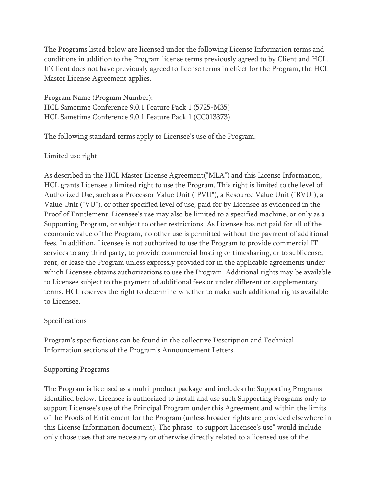The Programs listed below are licensed under the following License Information terms and conditions in addition to the Program license terms previously agreed to by Client and HCL. If Client does not have previously agreed to license terms in effect for the Program, the HCL Master License Agreement applies.

Program Name (Program Number): HCL Sametime Conference 9.0.1 Feature Pack 1 (5725-M35) HCL Sametime Conference 9.0.1 Feature Pack 1 (CC013373)

The following standard terms apply to Licensee's use of the Program.

## Limited use right

As described in the HCL Master License Agreement("MLA") and this License Information, HCL grants Licensee a limited right to use the Program. This right is limited to the level of Authorized Use, such as a Processor Value Unit ("PVU"), a Resource Value Unit ("RVU"), a Value Unit ("VU"), or other specified level of use, paid for by Licensee as evidenced in the Proof of Entitlement. Licensee's use may also be limited to a specified machine, or only as a Supporting Program, or subject to other restrictions. As Licensee has not paid for all of the economic value of the Program, no other use is permitted without the payment of additional fees. In addition, Licensee is not authorized to use the Program to provide commercial IT services to any third party, to provide commercial hosting or timesharing, or to sublicense, rent, or lease the Program unless expressly provided for in the applicable agreements under which Licensee obtains authorizations to use the Program. Additional rights may be available to Licensee subject to the payment of additional fees or under different or supplementary terms. HCL reserves the right to determine whether to make such additional rights available to Licensee.

# Specifications

Program's specifications can be found in the collective Description and Technical Information sections of the Program's Announcement Letters.

# Supporting Programs

The Program is licensed as a multi-product package and includes the Supporting Programs identified below. Licensee is authorized to install and use such Supporting Programs only to support Licensee's use of the Principal Program under this Agreement and within the limits of the Proofs of Entitlement for the Program (unless broader rights are provided elsewhere in this License Information document). The phrase "to support Licensee's use" would include only those uses that are necessary or otherwise directly related to a licensed use of the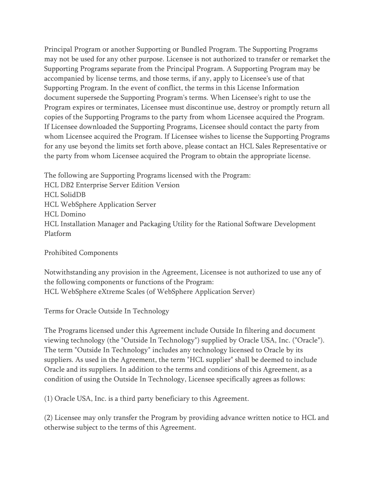Principal Program or another Supporting or Bundled Program. The Supporting Programs may not be used for any other purpose. Licensee is not authorized to transfer or remarket the Supporting Programs separate from the Principal Program. A Supporting Program may be accompanied by license terms, and those terms, if any, apply to Licensee's use of that Supporting Program. In the event of conflict, the terms in this License Information document supersede the Supporting Program's terms. When Licensee's right to use the Program expires or terminates, Licensee must discontinue use, destroy or promptly return all copies of the Supporting Programs to the party from whom Licensee acquired the Program. If Licensee downloaded the Supporting Programs, Licensee should contact the party from whom Licensee acquired the Program. If Licensee wishes to license the Supporting Programs for any use beyond the limits set forth above, please contact an HCL Sales Representative or the party from whom Licensee acquired the Program to obtain the appropriate license.

The following are Supporting Programs licensed with the Program: HCL DB2 Enterprise Server Edition Version HCL SolidDB HCL WebSphere Application Server HCL Domino HCL Installation Manager and Packaging Utility for the Rational Software Development Platform

Prohibited Components

Notwithstanding any provision in the Agreement, Licensee is not authorized to use any of the following components or functions of the Program: HCL WebSphere eXtreme Scales (of WebSphere Application Server)

Terms for Oracle Outside In Technology

The Programs licensed under this Agreement include Outside In filtering and document viewing technology (the "Outside In Technology") supplied by Oracle USA, Inc. ("Oracle"). The term "Outside In Technology" includes any technology licensed to Oracle by its suppliers. As used in the Agreement, the term "HCL supplier" shall be deemed to include Oracle and its suppliers. In addition to the terms and conditions of this Agreement, as a condition of using the Outside In Technology, Licensee specifically agrees as follows:

(1) Oracle USA, Inc. is a third party beneficiary to this Agreement.

(2) Licensee may only transfer the Program by providing advance written notice to HCL and otherwise subject to the terms of this Agreement.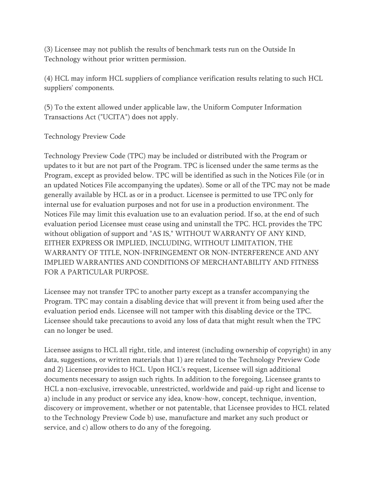(3) Licensee may not publish the results of benchmark tests run on the Outside In Technology without prior written permission.

(4) HCL may inform HCL suppliers of compliance verification results relating to such HCL suppliers' components.

(5) To the extent allowed under applicable law, the Uniform Computer Information Transactions Act ("UCITA") does not apply.

Technology Preview Code

Technology Preview Code (TPC) may be included or distributed with the Program or updates to it but are not part of the Program. TPC is licensed under the same terms as the Program, except as provided below. TPC will be identified as such in the Notices File (or in an updated Notices File accompanying the updates). Some or all of the TPC may not be made generally available by HCL as or in a product. Licensee is permitted to use TPC only for internal use for evaluation purposes and not for use in a production environment. The Notices File may limit this evaluation use to an evaluation period. If so, at the end of such evaluation period Licensee must cease using and uninstall the TPC. HCL provides the TPC without obligation of support and "AS IS," WITHOUT WARRANTY OF ANY KIND, EITHER EXPRESS OR IMPLIED, INCLUDING, WITHOUT LIMITATION, THE WARRANTY OF TITLE, NON-INFRINGEMENT OR NON-INTERFERENCE AND ANY IMPLIED WARRANTIES AND CONDITIONS OF MERCHANTABILITY AND FITNESS FOR A PARTICULAR PURPOSE.

Licensee may not transfer TPC to another party except as a transfer accompanying the Program. TPC may contain a disabling device that will prevent it from being used after the evaluation period ends. Licensee will not tamper with this disabling device or the TPC. Licensee should take precautions to avoid any loss of data that might result when the TPC can no longer be used.

Licensee assigns to HCL all right, title, and interest (including ownership of copyright) in any data, suggestions, or written materials that 1) are related to the Technology Preview Code and 2) Licensee provides to HCL. Upon HCL's request, Licensee will sign additional documents necessary to assign such rights. In addition to the foregoing, Licensee grants to HCL a non-exclusive, irrevocable, unrestricted, worldwide and paid-up right and license to a) include in any product or service any idea, know-how, concept, technique, invention, discovery or improvement, whether or not patentable, that Licensee provides to HCL related to the Technology Preview Code b) use, manufacture and market any such product or service, and c) allow others to do any of the foregoing.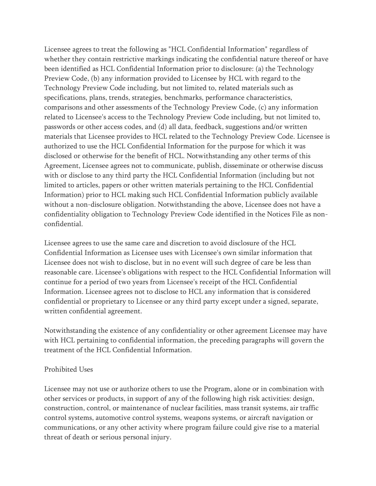Licensee agrees to treat the following as "HCL Confidential Information" regardless of whether they contain restrictive markings indicating the confidential nature thereof or have been identified as HCL Confidential Information prior to disclosure: (a) the Technology Preview Code, (b) any information provided to Licensee by HCL with regard to the Technology Preview Code including, but not limited to, related materials such as specifications, plans, trends, strategies, benchmarks, performance characteristics, comparisons and other assessments of the Technology Preview Code, (c) any information related to Licensee's access to the Technology Preview Code including, but not limited to, passwords or other access codes, and (d) all data, feedback, suggestions and/or written materials that Licensee provides to HCL related to the Technology Preview Code. Licensee is authorized to use the HCL Confidential Information for the purpose for which it was disclosed or otherwise for the benefit of HCL. Notwithstanding any other terms of this Agreement, Licensee agrees not to communicate, publish, disseminate or otherwise discuss with or disclose to any third party the HCL Confidential Information (including but not limited to articles, papers or other written materials pertaining to the HCL Confidential Information) prior to HCL making such HCL Confidential Information publicly available without a non-disclosure obligation. Notwithstanding the above, Licensee does not have a confidentiality obligation to Technology Preview Code identified in the Notices File as nonconfidential.

Licensee agrees to use the same care and discretion to avoid disclosure of the HCL Confidential Information as Licensee uses with Licensee's own similar information that Licensee does not wish to disclose, but in no event will such degree of care be less than reasonable care. Licensee's obligations with respect to the HCL Confidential Information will continue for a period of two years from Licensee's receipt of the HCL Confidential Information. Licensee agrees not to disclose to HCL any information that is considered confidential or proprietary to Licensee or any third party except under a signed, separate, written confidential agreement.

Notwithstanding the existence of any confidentiality or other agreement Licensee may have with HCL pertaining to confidential information, the preceding paragraphs will govern the treatment of the HCL Confidential Information.

#### Prohibited Uses

Licensee may not use or authorize others to use the Program, alone or in combination with other services or products, in support of any of the following high risk activities: design, construction, control, or maintenance of nuclear facilities, mass transit systems, air traffic control systems, automotive control systems, weapons systems, or aircraft navigation or communications, or any other activity where program failure could give rise to a material threat of death or serious personal injury.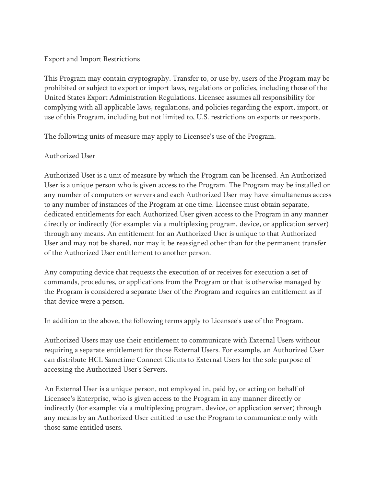### Export and Import Restrictions

This Program may contain cryptography. Transfer to, or use by, users of the Program may be prohibited or subject to export or import laws, regulations or policies, including those of the United States Export Administration Regulations. Licensee assumes all responsibility for complying with all applicable laws, regulations, and policies regarding the export, import, or use of this Program, including but not limited to, U.S. restrictions on exports or reexports.

The following units of measure may apply to Licensee's use of the Program.

## Authorized User

Authorized User is a unit of measure by which the Program can be licensed. An Authorized User is a unique person who is given access to the Program. The Program may be installed on any number of computers or servers and each Authorized User may have simultaneous access to any number of instances of the Program at one time. Licensee must obtain separate, dedicated entitlements for each Authorized User given access to the Program in any manner directly or indirectly (for example: via a multiplexing program, device, or application server) through any means. An entitlement for an Authorized User is unique to that Authorized User and may not be shared, nor may it be reassigned other than for the permanent transfer of the Authorized User entitlement to another person.

Any computing device that requests the execution of or receives for execution a set of commands, procedures, or applications from the Program or that is otherwise managed by the Program is considered a separate User of the Program and requires an entitlement as if that device were a person.

In addition to the above, the following terms apply to Licensee's use of the Program.

Authorized Users may use their entitlement to communicate with External Users without requiring a separate entitlement for those External Users. For example, an Authorized User can distribute HCL Sametime Connect Clients to External Users for the sole purpose of accessing the Authorized User's Servers.

An External User is a unique person, not employed in, paid by, or acting on behalf of Licensee's Enterprise, who is given access to the Program in any manner directly or indirectly (for example: via a multiplexing program, device, or application server) through any means by an Authorized User entitled to use the Program to communicate only with those same entitled users.